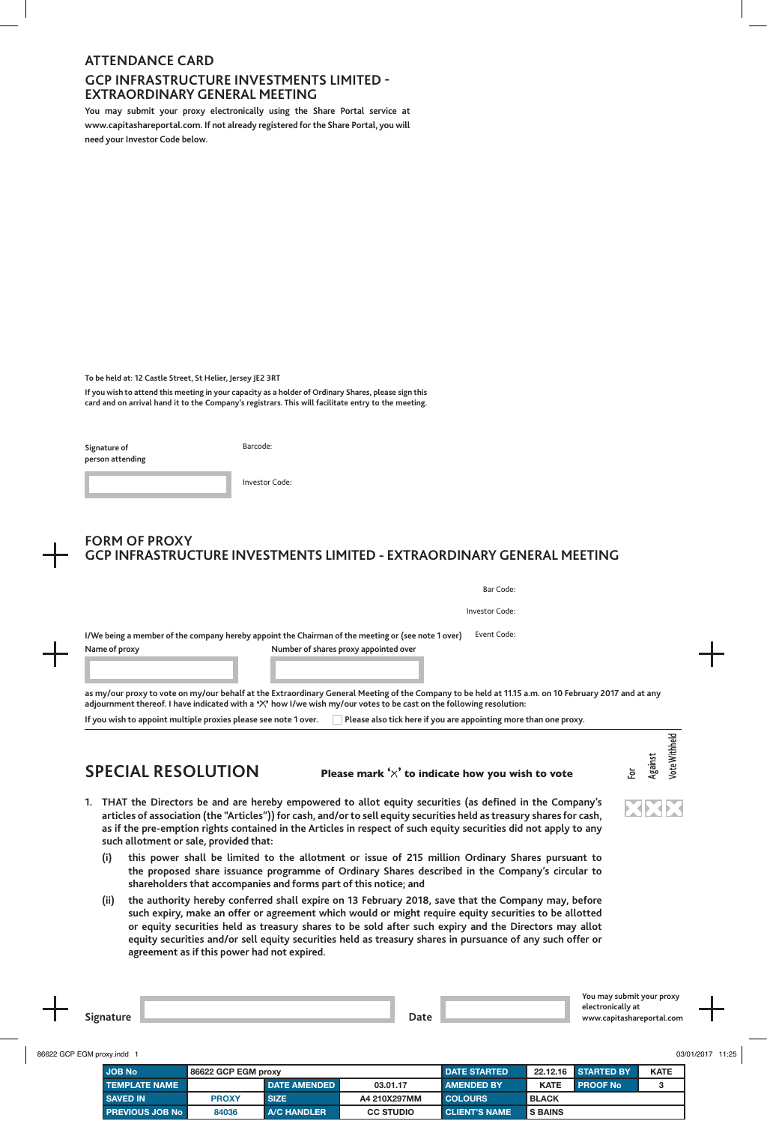### **ATTENDANCE CARD**

### **GCP INFRASTRUCTURE INVESTMENTS LIMITED - EXTRAORDINARY GENERAL MEETING**

**You may submit your proxy electronically using the Share Portal service at www.capitashareportal.com. If not already registered for the Share Portal, you will need your Investor Code below.**

**To be held at: 12 Castle Street, St Helier, Jersey JE2 3RT**

**If you wish to attend this meeting in your capacity as a holder of Ordinary Shares, please sign this card and on arrival hand it to the Company's registrars. This will facilitate entry to the meeting.**

| Signature of<br>person attending | Barcode:       |
|----------------------------------|----------------|
|                                  | Investor Code: |

# **FORM OF PROXY GCP INFRASTRUCTURE INVESTMENTS LIMITED - EXTRAORDINARY GENERAL MEETING**

|               | Investor Code:                                                                                                    |
|---------------|-------------------------------------------------------------------------------------------------------------------|
|               | Event Code:<br>I/We being a member of the company hereby appoint the Chairman of the meeting or (see note 1 over) |
| Name of proxy | Number of shares proxy appointed over                                                                             |
|               |                                                                                                                   |

If you wish to appoint multiple proxies please see note 1 over. **Prominal and the also tick here if you are appointing more than one proxy.** 

## **SPECIAL RESOLUTION Please mark ' ' to indicate how you wish to vote**

**For Against Vote Withheld**

XXX

ote Withheld

- **1. THAT the Directors be and are hereby empowered to allot equity securities (as defined in the Company's articles of association (the "Articles")) for cash, and/or to sell equity securities held as treasury shares for cash, as if the pre-emption rights contained in the Articles in respect of such equity securities did not apply to any such allotment or sale, provided that:**
	- **(i) this power shall be limited to the allotment or issue of 215 million Ordinary Shares pursuant to the proposed share issuance programme of Ordinary Shares described in the Company's circular to shareholders that accompanies and forms part of this notice; and**
	- **(ii) the authority hereby conferred shall expire on 13 February 2018, save that the Company may, before such expiry, make an offer or agreement which would or might require equity securities to be allotted or equity securities held as treasury shares to be sold after such expiry and the Directors may allot equity securities and/or sell equity securities held as treasury shares in pursuance of any such offer or agreement as if this power had not expired.**

|   |             | You may sub<br><b><i>IMPRESS</i></b><br>- ייטוני<br>the contract of the contract of the |
|---|-------------|-----------------------------------------------------------------------------------------|
|   |             | $\ddotsc$<br>∗د ∪ال<br>പറ<br>$\mathbf{d}$                                               |
|   | <b>Dacc</b> | con<br><b>ANAL</b><br>.                                                                 |
| - |             |                                                                                         |

| 86622 GCP EGM proxy.indd 1 |                     |                     |                  |                      |                |                     |             | 03/01/2017 11:25 |
|----------------------------|---------------------|---------------------|------------------|----------------------|----------------|---------------------|-------------|------------------|
| <b>JOB No</b>              | 86622 GCP EGM proxy |                     |                  | <b>DATE STARTED</b>  |                | 22.12.16 STARTED BY | <b>KATE</b> |                  |
| <b>TEMPLATE NAME</b>       |                     | <b>DATE AMENDED</b> | 03.01.17         | <b>AMENDED BY</b>    | <b>KATE</b>    | <b>PROOF No</b>     |             |                  |
| <b>SAVED IN</b>            | <b>PROXY</b>        | <b>SIZE</b>         | A4 210X297MM     | <b>COLOURS</b>       | <b>BLACK</b>   |                     |             |                  |
| PREVIOUS JOB No            | 84036               | <b>A/C HANDLER</b>  | <b>CC STUDIO</b> | <b>CLIENT'S NAME</b> | <b>S BAINS</b> |                     |             |                  |